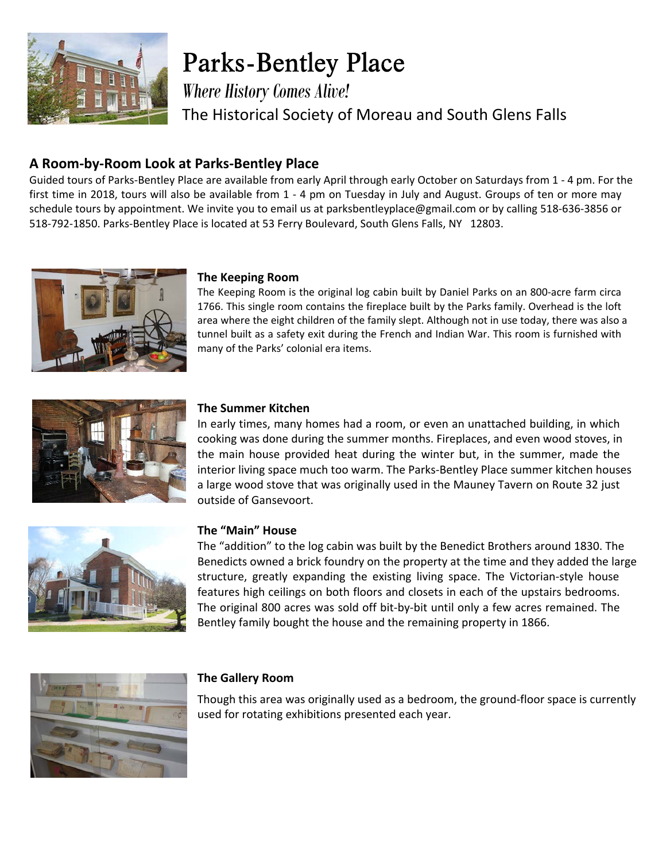

**Parks-Bentley Place** 

*Where History Comes Alive!* The Historical Society of Moreau and South Glens Falls

## **A Room-by-Room Look at Parks-Bentley Place**

Guided tours of Parks-Bentley Place are available from early April through early October on Saturdays from 1 - 4 pm. For the first time in 2018, tours will also be available from 1 - 4 pm on Tuesday in July and August. Groups of ten or more may schedule tours by appointment. We invite you to email us at parksbentleyplace@gmail.com or by calling 518-636-3856 or 518-792-1850. Parks-Bentley Place is located at 53 Ferry Boulevard, South Glens Falls, NY 12803.



#### **The Keeping Room**

The Keeping Room is the original log cabin built by Daniel Parks on an 800-acre farm circa 1766. This single room contains the fireplace built by the Parks family. Overhead is the loft area where the eight children of the family slept. Although not in use today, there was also a tunnel built as a safety exit during the French and Indian War. This room is furnished with many of the Parks' colonial era items.



#### **The Summer Kitchen**

In early times, many homes had a room, or even an unattached building, in which cooking was done during the summer months. Fireplaces, and even wood stoves, in the main house provided heat during the winter but, in the summer, made the interior living space much too warm. The Parks-Bentley Place summer kitchen houses a large wood stove that was originally used in the Mauney Tavern on Route 32 just outside of Gansevoort.



#### **The "Main" House**

The "addition" to the log cabin was built by the Benedict Brothers around 1830. The Benedicts owned a brick foundry on the property at the time and they added the large structure, greatly expanding the existing living space. The Victorian-style house features high ceilings on both floors and closets in each of the upstairs bedrooms. The original 800 acres was sold off bit-by-bit until only a few acres remained. The Bentley family bought the house and the remaining property in 1866.



#### **The Gallery Room**

Though this area was originally used as a bedroom, the ground-floor space is currently used for rotating exhibitions presented each year.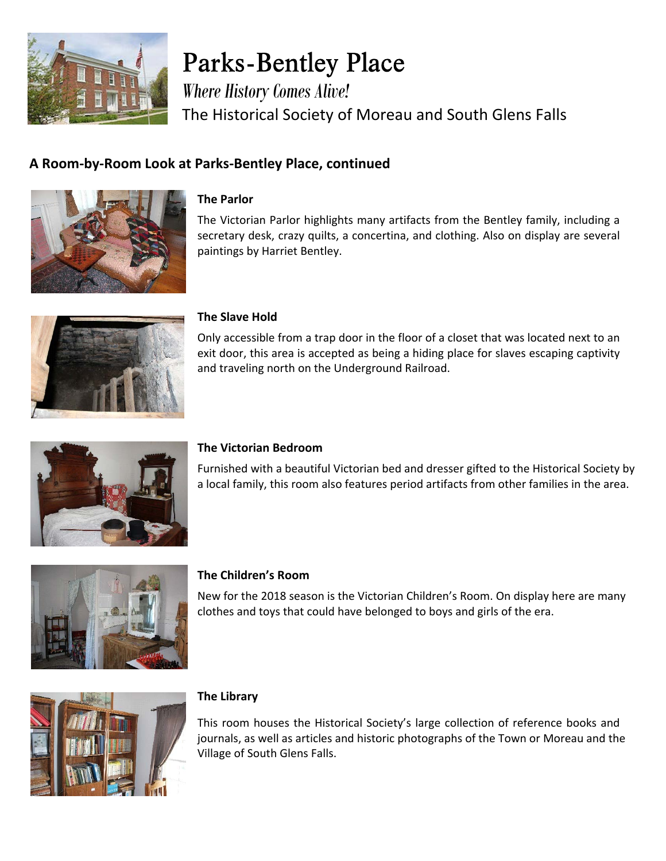

# **Parks-Bentley Place**

*Where History Comes Alive!* The Historical Society of Moreau and South Glens Falls

# **A Room-by-Room Look at Parks-Bentley Place, continued**



#### **The Parlor**

The Victorian Parlor highlights many artifacts from the Bentley family, including a secretary desk, crazy quilts, a concertina, and clothing. Also on display are several paintings by Harriet Bentley.



#### **The Slave Hold**

Only accessible from a trap door in the floor of a closet that was located next to an exit door, this area is accepted as being a hiding place for slaves escaping captivity and traveling north on the Underground Railroad.



#### **The Victorian Bedroom**

Furnished with a beautiful Victorian bed and dresser gifted to the Historical Society by a local family, this room also features period artifacts from other families in the area.



#### **The Children's Room**

New for the 2018 season is the Victorian Children's Room. On display here are many clothes and toys that could have belonged to boys and girls of the era.



#### **The Library**

This room houses the Historical Society's large collection of reference books and journals, as well as articles and historic photographs of the Town or Moreau and the Village of South Glens Falls.